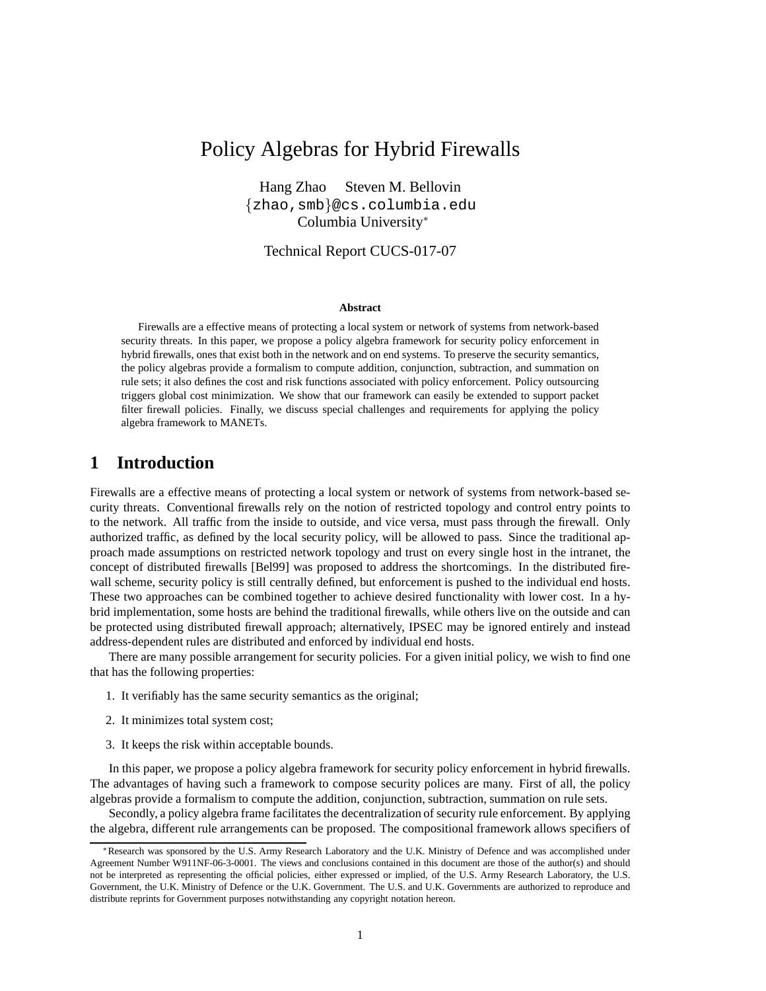# Policy Algebras for Hybrid Firewalls

Hang Zhao Steven M. Bellovin {zhao,smb}@cs.columbia.edu Columbia University<sup>∗</sup>

Technical Report CUCS-017-07

#### **Abstract**

Firewalls are a effective means of protecting a local system or network of systems from network-based security threats. In this paper, we propose a policy algebra framework for security policy enforcement in hybrid firewalls, ones that exist both in the network and on end systems. To preserve the security semantics, the policy algebras provide a formalism to compute addition, conjunction, subtraction, and summation on rule sets; it also defines the cost and risk functions associated with policy enforcement. Policy outsourcing triggers global cost minimization. We show that our framework can easily be extended to support packet filter firewall policies. Finally, we discuss special challenges and requirements for applying the policy algebra framework to MANETs.

### **1 Introduction**

Firewalls are a effective means of protecting a local system or network of systems from network-based security threats. Conventional firewalls rely on the notion of restricted topology and control entry points to to the network. All traffic from the inside to outside, and vice versa, must pass through the firewall. Only authorized traffic, as defined by the local security policy, will be allowed to pass. Since the traditional approach made assumptions on restricted network topology and trust on every single host in the intranet, the concept of distributed firewalls [Bel99] was proposed to address the shortcomings. In the distributed firewall scheme, security policy is still centrally defined, but enforcement is pushed to the individual end hosts. These two approaches can be combined together to achieve desired functionality with lower cost. In a hybrid implementation, some hosts are behind the traditional firewalls, while others live on the outside and can be protected using distributed firewall approach; alternatively, IPSEC may be ignored entirely and instead address-dependent rules are distributed and enforced by individual end hosts.

There are many possible arrangement for security policies. For a given initial policy, we wish to find one that has the following properties:

- 1. It verifiably has the same security semantics as the original;
- 2. It minimizes total system cost;
- 3. It keeps the risk within acceptable bounds.

In this paper, we propose a policy algebra framework for security policy enforcement in hybrid firewalls. The advantages of having such a framework to compose security polices are many. First of all, the policy algebras provide a formalism to compute the addition, conjunction, subtraction, summation on rule sets.

Secondly, a policy algebra frame facilitates the decentralization of security rule enforcement. By applying the algebra, different rule arrangements can be proposed. The compositional framework allows specifiers of

<sup>∗</sup>Research was sponsored by the U.S. Army Research Laboratory and the U.K. Ministry of Defence and was accomplished under Agreement Number W911NF-06-3-0001. The views and conclusions contained in this document are those of the author(s) and should not be interpreted as representing the official policies, either expressed or implied, of the U.S. Army Research Laboratory, the U.S. Government, the U.K. Ministry of Defence or the U.K. Government. The U.S. and U.K. Governments are authorized to reproduce and distribute reprints for Government purposes notwithstanding any copyright notation hereon.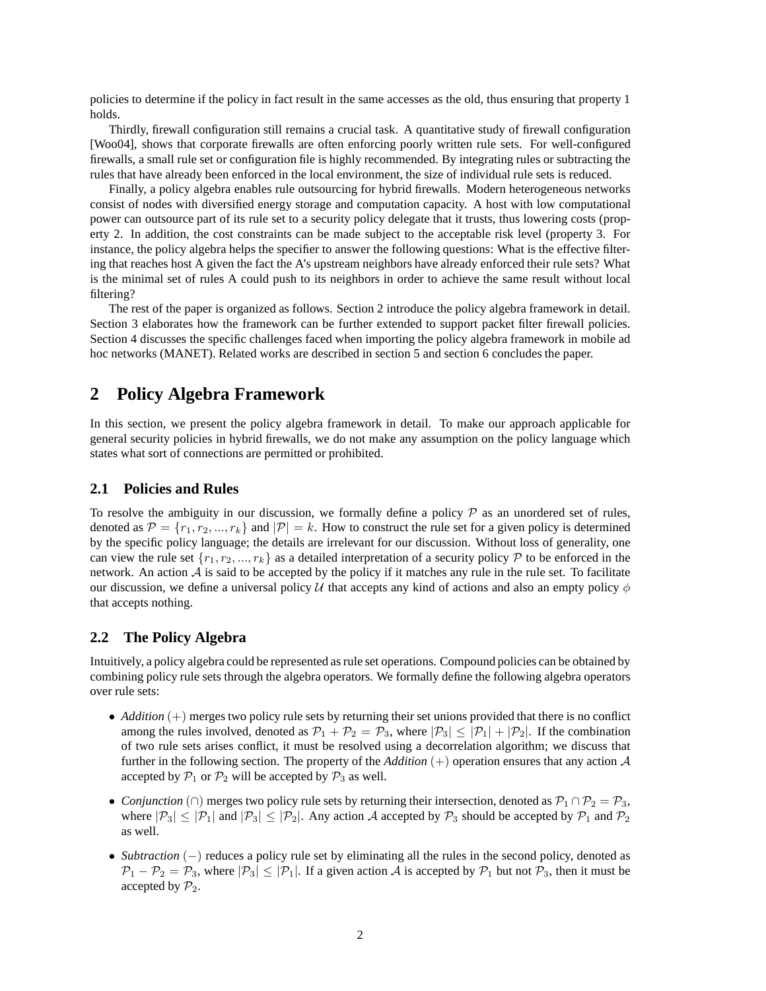policies to determine if the policy in fact result in the same accesses as the old, thus ensuring that property 1 holds.

Thirdly, firewall configuration still remains a crucial task. A quantitative study of firewall configuration [Woo04], shows that corporate firewalls are often enforcing poorly written rule sets. For well-configured firewalls, a small rule set or configuration file is highly recommended. By integrating rules or subtracting the rules that have already been enforced in the local environment, the size of individual rule sets is reduced.

Finally, a policy algebra enables rule outsourcing for hybrid firewalls. Modern heterogeneous networks consist of nodes with diversified energy storage and computation capacity. A host with low computational power can outsource part of its rule set to a security policy delegate that it trusts, thus lowering costs (property 2. In addition, the cost constraints can be made subject to the acceptable risk level (property 3. For instance, the policy algebra helps the specifier to answer the following questions: What is the effective filtering that reaches host A given the fact the A's upstream neighbors have already enforced their rule sets? What is the minimal set of rules A could push to its neighbors in order to achieve the same result without local filtering?

The rest of the paper is organized as follows. Section 2 introduce the policy algebra framework in detail. Section 3 elaborates how the framework can be further extended to support packet filter firewall policies. Section 4 discusses the specific challenges faced when importing the policy algebra framework in mobile ad hoc networks (MANET). Related works are described in section 5 and section 6 concludes the paper.

### **2 Policy Algebra Framework**

In this section, we present the policy algebra framework in detail. To make our approach applicable for general security policies in hybrid firewalls, we do not make any assumption on the policy language which states what sort of connections are permitted or prohibited.

#### **2.1 Policies and Rules**

To resolve the ambiguity in our discussion, we formally define a policy  $P$  as an unordered set of rules, denoted as  $\mathcal{P} = \{r_1, r_2, ..., r_k\}$  and  $|\mathcal{P}| = k$ . How to construct the rule set for a given policy is determined by the specific policy language; the details are irrelevant for our discussion. Without loss of generality, one can view the rule set  $\{r_1, r_2, ..., r_k\}$  as a detailed interpretation of a security policy P to be enforced in the network. An action  $A$  is said to be accepted by the policy if it matches any rule in the rule set. To facilitate our discussion, we define a universal policy U that accepts any kind of actions and also an empty policy  $\phi$ that accepts nothing.

#### **2.2 The Policy Algebra**

Intuitively, a policy algebra could be represented as rule set operations. Compound policies can be obtained by combining policy rule sets through the algebra operators. We formally define the following algebra operators over rule sets:

- *Addition* (+) merges two policy rule sets by returning their set unions provided that there is no conflict among the rules involved, denoted as  $\mathcal{P}_1 + \mathcal{P}_2 = \mathcal{P}_3$ , where  $|\mathcal{P}_3| \leq |\mathcal{P}_1| + |\mathcal{P}_2|$ . If the combination of two rule sets arises conflict, it must be resolved using a decorrelation algorithm; we discuss that further in the following section. The property of the *Addition*  $(+)$  operation ensures that any action  $A$ accepted by  $P_1$  or  $P_2$  will be accepted by  $P_3$  as well.
- *Conjunction* (∩) merges two policy rule sets by returning their intersection, denoted as  $P_1 \cap P_2 = P_3$ , where  $|\mathcal{P}_3| \leq |\mathcal{P}_1|$  and  $|\mathcal{P}_3| \leq |\mathcal{P}_2|$ . Any action A accepted by  $\mathcal{P}_3$  should be accepted by  $\mathcal{P}_1$  and  $\mathcal{P}_2$ as well.
- *Subtraction* (−) reduces a policy rule set by eliminating all the rules in the second policy, denoted as  $\mathcal{P}_1 - \mathcal{P}_2 = \mathcal{P}_3$ , where  $|\mathcal{P}_3| \leq |\mathcal{P}_1|$ . If a given action A is accepted by  $\mathcal{P}_1$  but not  $\mathcal{P}_3$ , then it must be accepted by  $\mathcal{P}_2$ .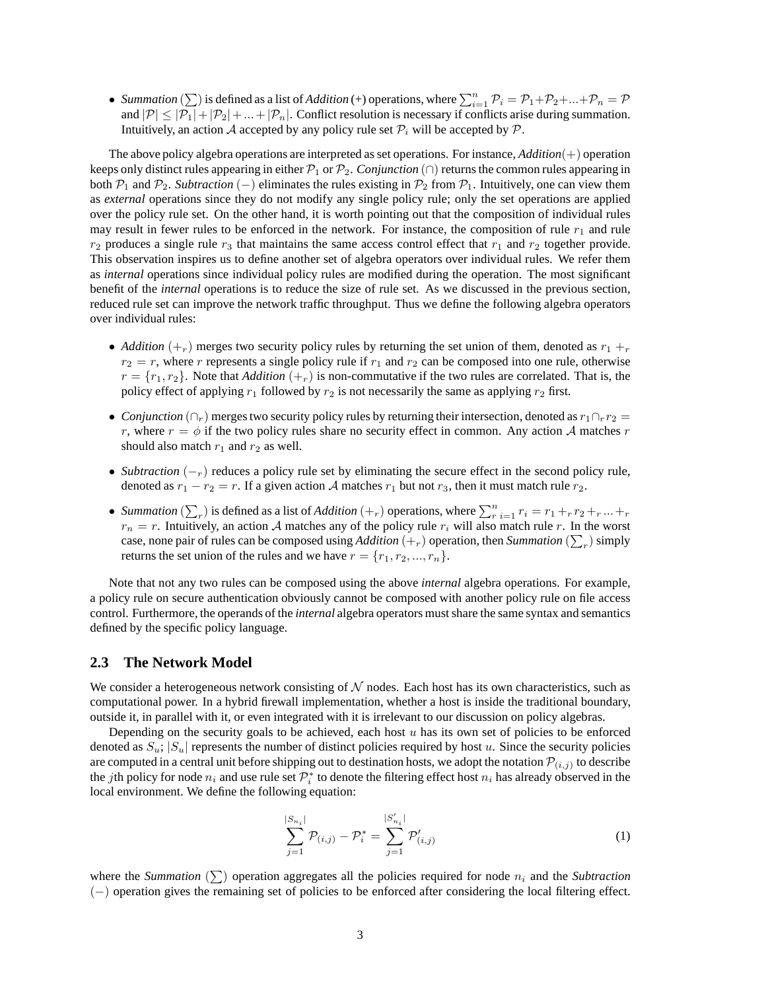• *Summation* ( $\sum$ ) is defined as a list of *Addition* (+) operations, where  $\sum_{i=1}^{n} P_i = P_1 + P_2 + ... + P_n = P$ and  $|\mathcal{P}| \leq |\mathcal{P}_1| + |\mathcal{P}_2| + ... + |\mathcal{P}_n|$ . Conflict resolution is necessary if conflicts arise during summation. Intuitively, an action A accepted by any policy rule set  $\mathcal{P}_i$  will be accepted by  $\mathcal{P}$ .

The above policy algebra operations are interpreted as set operations. For instance, *Addition*(+) operation keeps only distinct rules appearing in either  $\mathcal{P}_1$  or  $\mathcal{P}_2$ . *Conjunction* ( $\cap$ ) returns the common rules appearing in both  $P_1$  and  $P_2$ . *Subtraction* (−) eliminates the rules existing in  $P_2$  from  $P_1$ . Intuitively, one can view them as *external* operations since they do not modify any single policy rule; only the set operations are applied over the policy rule set. On the other hand, it is worth pointing out that the composition of individual rules may result in fewer rules to be enforced in the network. For instance, the composition of rule  $r_1$  and rule  $r_2$  produces a single rule  $r_3$  that maintains the same access control effect that  $r_1$  and  $r_2$  together provide. This observation inspires us to define another set of algebra operators over individual rules. We refer them as *internal* operations since individual policy rules are modified during the operation. The most significant benefit of the *internal* operations is to reduce the size of rule set. As we discussed in the previous section, reduced rule set can improve the network traffic throughput. Thus we define the following algebra operators over individual rules:

- *Addition*  $\left( +_{r} \right)$  merges two security policy rules by returning the set union of them, denoted as  $r_1 +_r r_2$  $r_2 = r$ , where r represents a single policy rule if  $r_1$  and  $r_2$  can be composed into one rule, otherwise  $r = \{r_1, r_2\}$ . Note that *Addition*  $\left(\frac{r}{r}\right)$  is non-commutative if the two rules are correlated. That is, the policy effect of applying  $r_1$  followed by  $r_2$  is not necessarily the same as applying  $r_2$  first.
- *Conjunction* ( $\cap_r$ ) merges two security policy rules by returning their intersection, denoted as  $r_1 \cap_r r_2 =$ r, where  $r = \phi$  if the two policy rules share no security effect in common. Any action A matches r should also match  $r_1$  and  $r_2$  as well.
- *Subtraction*  $(-r)$  reduces a policy rule set by eliminating the secure effect in the second policy rule, denoted as  $r_1 - r_2 = r$ . If a given action A matches  $r_1$  but not  $r_3$ , then it must match rule  $r_2$ .
- *Summation*  $(\sum_r)$  is defined as a list of *Addition*  $(+_r)$  operations, where  $\sum_{r=1}^{n} r_i = r_1 + r_2 + r_3 + \dots + r_n$  $r_n = r$ . Intuitively, an action A matches any of the policy rule  $r_i$  will also match rule r. In the worst case, none pair of rules can be composed using *Addition*  $(+_r)$  operation, then *Summation*  $(\sum_r)$  simply returns the set union of the rules and we have  $r = \{r_1, r_2, ..., r_n\}.$

Note that not any two rules can be composed using the above *internal* algebra operations. For example, a policy rule on secure authentication obviously cannot be composed with another policy rule on file access control. Furthermore, the operands of the *internal* algebra operators must share the same syntax and semantics defined by the specific policy language.

#### **2.3 The Network Model**

We consider a heterogeneous network consisting of  $N$  nodes. Each host has its own characteristics, such as computational power. In a hybrid firewall implementation, whether a host is inside the traditional boundary, outside it, in parallel with it, or even integrated with it is irrelevant to our discussion on policy algebras.

Depending on the security goals to be achieved, each host  $u$  has its own set of policies to be enforced denoted as  $S_u$ ;  $|S_u|$  represents the number of distinct policies required by host u. Since the security policies are computed in a central unit before shipping out to destination hosts, we adopt the notation  $\mathcal{P}_{(i,j)}$  to describe the *j*th policy for node  $n_i$  and use rule set  $\mathcal{P}_i^*$  to denote the filtering effect host  $n_i$  has already observed in the local environment. We define the following equation:

$$
\sum_{j=1}^{|S_{n_i}|} \mathcal{P}_{(i,j)} - \mathcal{P}_i^* = \sum_{j=1}^{|S'_{n_i}|} \mathcal{P}'_{(i,j)}
$$
(1)

where the *Summation*  $(\sum)$  operation aggregates all the policies required for node  $n_i$  and the *Subtraction* (−) operation gives the remaining set of policies to be enforced after considering the local filtering effect.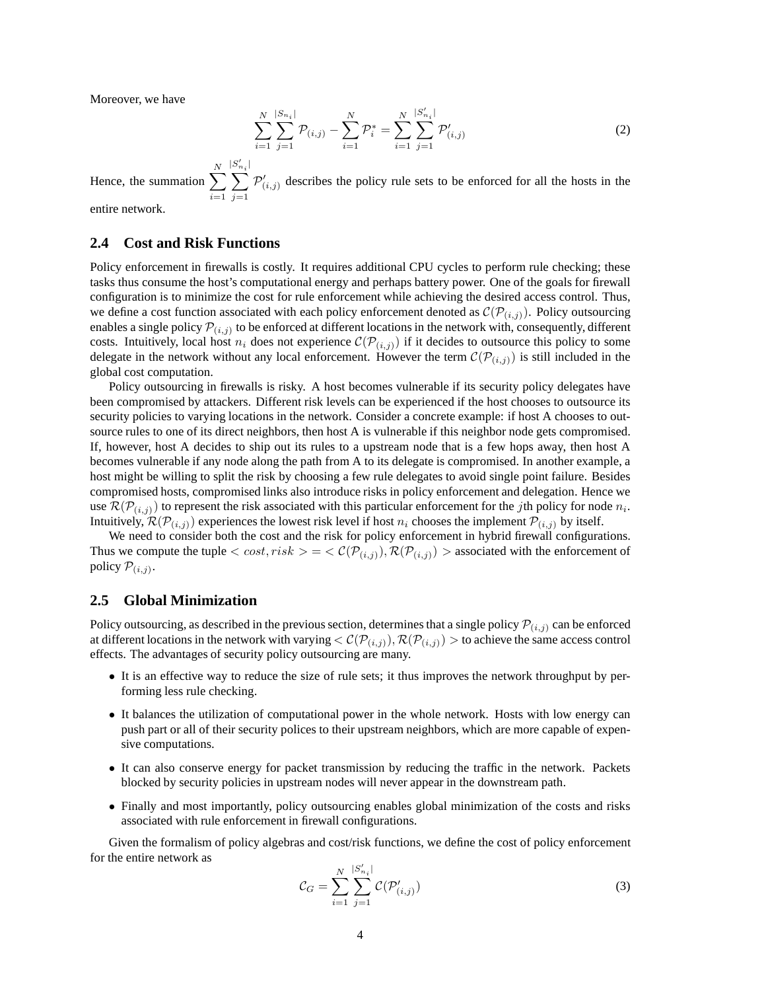Moreover, we have

$$
\sum_{i=1}^{N} \sum_{j=1}^{|S_{n_i}|} \mathcal{P}_{(i,j)} - \sum_{i=1}^{N} \mathcal{P}_{i}^{*} = \sum_{i=1}^{N} \sum_{j=1}^{|S'_{n_i}|} \mathcal{P}'_{(i,j)}
$$
(2)

Hence, the summation  $\sum$ N  $i=1$  $|S'_{n_i}|$  $\sum$ |  $j=1$  $\mathcal{P}'_{(i,j)}$  describes the policy rule sets to be enforced for all the hosts in the

entire network.

#### **2.4 Cost and Risk Functions**

Policy enforcement in firewalls is costly. It requires additional CPU cycles to perform rule checking; these tasks thus consume the host's computational energy and perhaps battery power. One of the goals for firewall configuration is to minimize the cost for rule enforcement while achieving the desired access control. Thus, we define a cost function associated with each policy enforcement denoted as  $\mathcal{C}(\mathcal{P}_{(i,j)})$ . Policy outsourcing enables a single policy  $\mathcal{P}_{(i,j)}$  to be enforced at different locations in the network with, consequently, different costs. Intuitively, local host  $n_i$  does not experience  $\mathcal{C}(\mathcal{P}_{(i,j)})$  if it decides to outsource this policy to some delegate in the network without any local enforcement. However the term  $\mathcal{C}(\mathcal{P}_{(i,j)})$  is still included in the global cost computation.

Policy outsourcing in firewalls is risky. A host becomes vulnerable if its security policy delegates have been compromised by attackers. Different risk levels can be experienced if the host chooses to outsource its security policies to varying locations in the network. Consider a concrete example: if host A chooses to outsource rules to one of its direct neighbors, then host A is vulnerable if this neighbor node gets compromised. If, however, host A decides to ship out its rules to a upstream node that is a few hops away, then host A becomes vulnerable if any node along the path from A to its delegate is compromised. In another example, a host might be willing to split the risk by choosing a few rule delegates to avoid single point failure. Besides compromised hosts, compromised links also introduce risks in policy enforcement and delegation. Hence we use  $\mathcal{R}(\mathcal{P}_{(i,j)})$  to represent the risk associated with this particular enforcement for the jth policy for node  $n_i$ . Intuitively,  $\mathcal{R}(\mathcal{P}_{(i,j)})$  experiences the lowest risk level if host  $n_i$  chooses the implement  $\mathcal{P}_{(i,j)}$  by itself.

We need to consider both the cost and the risk for policy enforcement in hybrid firewall configurations. Thus we compute the tuple  $\langle \cos t, \sin t \rangle = \langle \mathcal{C}(\mathcal{P}(i,j)), \mathcal{R}(\mathcal{P}(i,j)) \rangle$  associated with the enforcement of policy  $\mathcal{P}_{(i,j)}$ .

#### **2.5 Global Minimization**

Policy outsourcing, as described in the previous section, determines that a single policy  $\mathcal{P}_{(i,j)}$  can be enforced at different locations in the network with varying  $\langle \mathcal{C}(\mathcal{P}_{(i,j)}) , \mathcal{R}(\mathcal{P}_{(i,j)}) \rangle$  to achieve the same access control effects. The advantages of security policy outsourcing are many.

- It is an effective way to reduce the size of rule sets; it thus improves the network throughput by performing less rule checking.
- It balances the utilization of computational power in the whole network. Hosts with low energy can push part or all of their security polices to their upstream neighbors, which are more capable of expensive computations.
- It can also conserve energy for packet transmission by reducing the traffic in the network. Packets blocked by security policies in upstream nodes will never appear in the downstream path.
- Finally and most importantly, policy outsourcing enables global minimization of the costs and risks associated with rule enforcement in firewall configurations.

Given the formalism of policy algebras and cost/risk functions, we define the cost of policy enforcement for the entire network as

$$
\mathcal{C}_G = \sum_{i=1}^N \sum_{j=1}^{|S'_{n_i}|} \mathcal{C}(\mathcal{P}'_{(i,j)})
$$
\n(3)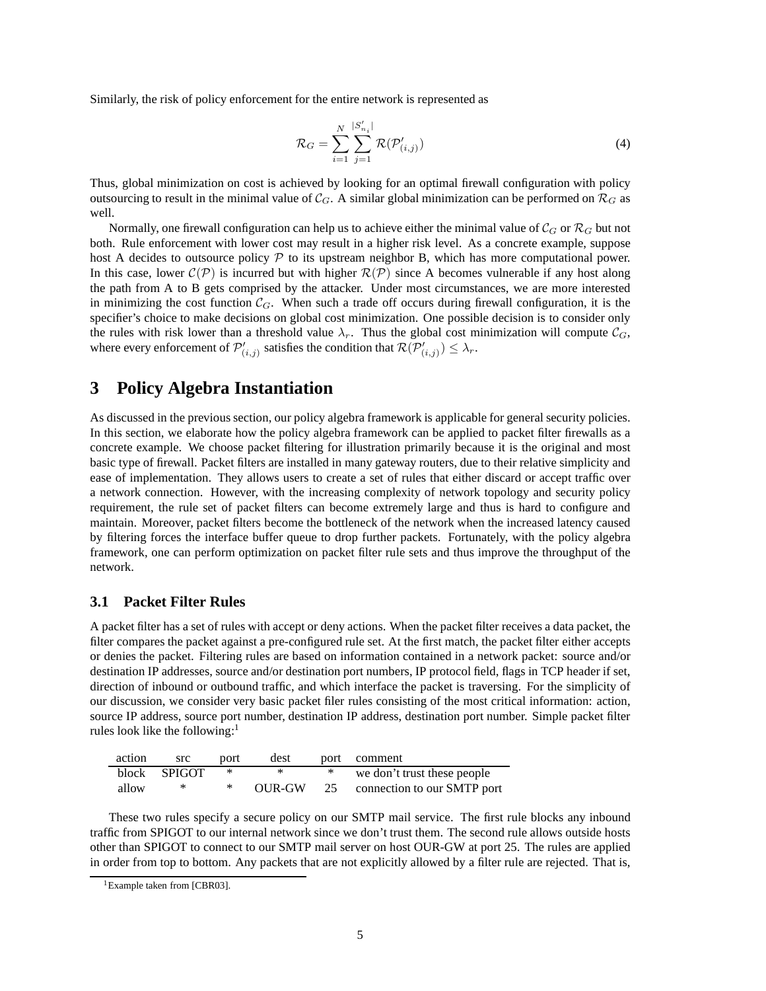Similarly, the risk of policy enforcement for the entire network is represented as

$$
\mathcal{R}_G = \sum_{i=1}^N \sum_{j=1}^{|S'_{n_i}|} \mathcal{R}(\mathcal{P}'_{(i,j)})
$$
\n(4)

Thus, global minimization on cost is achieved by looking for an optimal firewall configuration with policy outsourcing to result in the minimal value of  $C_G$ . A similar global minimization can be performed on  $\mathcal{R}_G$  as well.

Normally, one firewall configuration can help us to achieve either the minimal value of  $\mathcal{C}_G$  or  $\mathcal{R}_G$  but not both. Rule enforcement with lower cost may result in a higher risk level. As a concrete example, suppose host A decides to outsource policy  $P$  to its upstream neighbor B, which has more computational power. In this case, lower  $\mathcal{C}(\mathcal{P})$  is incurred but with higher  $\mathcal{R}(\mathcal{P})$  since A becomes vulnerable if any host along the path from A to B gets comprised by the attacker. Under most circumstances, we are more interested in minimizing the cost function  $C_G$ . When such a trade off occurs during firewall configuration, it is the specifier's choice to make decisions on global cost minimization. One possible decision is to consider only the rules with risk lower than a threshold value  $\lambda_r$ . Thus the global cost minimization will compute  $\mathcal{C}_G$ , where every enforcement of  $\mathcal{P}'_{(i,j)}$  satisfies the condition that  $\mathcal{R}(\mathcal{P}'_{(i,j)}) \leq \lambda_r$ .

## **3 Policy Algebra Instantiation**

As discussed in the previous section, our policy algebra framework is applicable for general security policies. In this section, we elaborate how the policy algebra framework can be applied to packet filter firewalls as a concrete example. We choose packet filtering for illustration primarily because it is the original and most basic type of firewall. Packet filters are installed in many gateway routers, due to their relative simplicity and ease of implementation. They allows users to create a set of rules that either discard or accept traffic over a network connection. However, with the increasing complexity of network topology and security policy requirement, the rule set of packet filters can become extremely large and thus is hard to configure and maintain. Moreover, packet filters become the bottleneck of the network when the increased latency caused by filtering forces the interface buffer queue to drop further packets. Fortunately, with the policy algebra framework, one can perform optimization on packet filter rule sets and thus improve the throughput of the network.

#### **3.1 Packet Filter Rules**

A packet filter has a set of rules with accept or deny actions. When the packet filter receives a data packet, the filter compares the packet against a pre-configured rule set. At the first match, the packet filter either accepts or denies the packet. Filtering rules are based on information contained in a network packet: source and/or destination IP addresses, source and/or destination port numbers, IP protocol field, flags in TCP header if set, direction of inbound or outbound traffic, and which interface the packet is traversing. For the simplicity of our discussion, we consider very basic packet filer rules consisting of the most critical information: action, source IP address, source port number, destination IP address, destination port number. Simple packet filter rules look like the following: $<sup>1</sup>$ </sup>

| action | src          | port | dest   | port comment                   |
|--------|--------------|------|--------|--------------------------------|
|        | block SPIGOT |      |        | we don't trust these people    |
| allow  | ∗            |      | OUR-GW | 25 connection to our SMTP port |

These two rules specify a secure policy on our SMTP mail service. The first rule blocks any inbound traffic from SPIGOT to our internal network since we don't trust them. The second rule allows outside hosts other than SPIGOT to connect to our SMTP mail server on host OUR-GW at port 25. The rules are applied in order from top to bottom. Any packets that are not explicitly allowed by a filter rule are rejected. That is,

<sup>&</sup>lt;sup>1</sup>Example taken from [CBR03].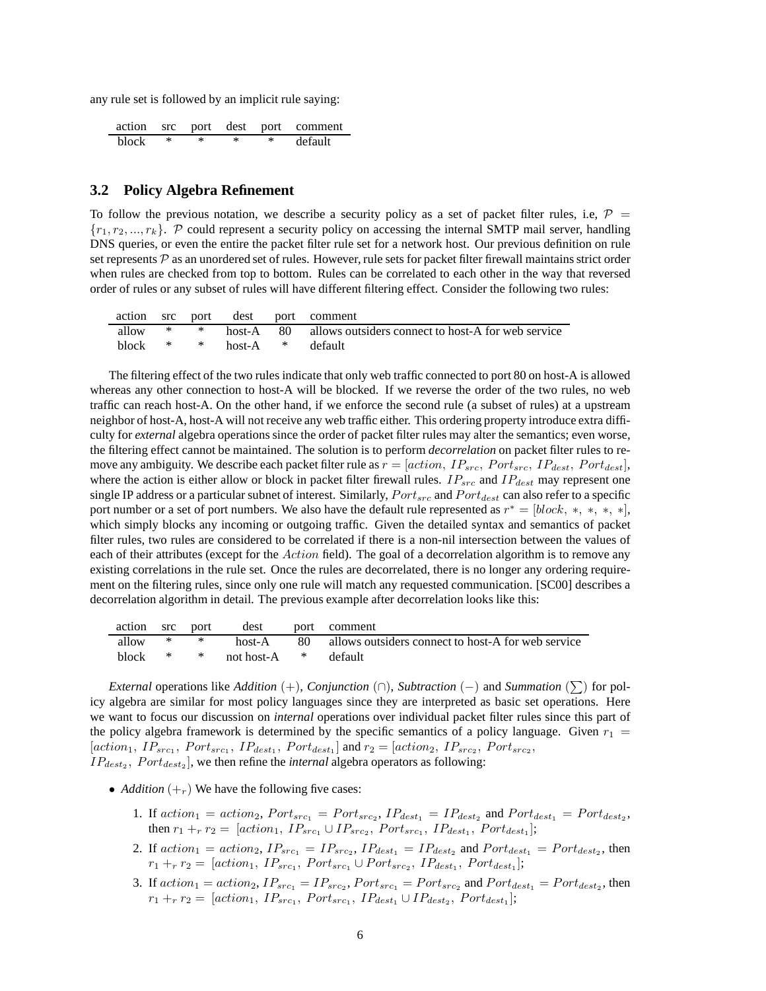any rule set is followed by an implicit rule saying:

|       |  |        | action src port dest port comment |
|-------|--|--------|-----------------------------------|
| block |  | $\ast$ | default                           |

#### **3.2 Policy Algebra Refinement**

To follow the previous notation, we describe a security policy as a set of packet filter rules, i.e,  $\mathcal{P} =$  ${r_1, r_2, ..., r_k}$ . P could represent a security policy on accessing the internal SMTP mail server, handling DNS queries, or even the entire the packet filter rule set for a network host. Our previous definition on rule set represents  $\mathcal P$  as an unordered set of rules. However, rule sets for packet filter firewall maintains strict order when rules are checked from top to bottom. Rules can be correlated to each other in the way that reversed order of rules or any subset of rules will have different filtering effect. Consider the following two rules:

|  |                                  | action src port dest port comment                                      |
|--|----------------------------------|------------------------------------------------------------------------|
|  |                                  | allow * * host-A 80 allows outsiders connect to host-A for web service |
|  | block $*$ $*$ host-A $*$ default |                                                                        |

The filtering effect of the two rules indicate that only web traffic connected to port 80 on host-A is allowed whereas any other connection to host-A will be blocked. If we reverse the order of the two rules, no web traffic can reach host-A. On the other hand, if we enforce the second rule (a subset of rules) at a upstream neighbor of host-A, host-A will not receive any web traffic either. This ordering property introduce extra difficulty for *external* algebra operations since the order of packet filter rules may alter the semantics; even worse, the filtering effect cannot be maintained. The solution is to perform *decorrelation* on packet filter rules to remove any ambiguity. We describe each packet filter rule as  $r = [action, IP_{src}, Port_{src}, IP_{dest}, Port_{dest}],$ where the action is either allow or block in packet filter firewall rules.  $IP_{src}$  and  $IP_{dest}$  may represent one single IP address or a particular subnet of interest. Similarly,  $Port_{src}$  and  $Port_{dest}$  can also refer to a specific port number or a set of port numbers. We also have the default rule represented as  $r^* = [block, *, *, *, *]$ , which simply blocks any incoming or outgoing traffic. Given the detailed syntax and semantics of packet filter rules, two rules are considered to be correlated if there is a non-nil intersection between the values of each of their attributes (except for the *Action* field). The goal of a decorrelation algorithm is to remove any existing correlations in the rule set. Once the rules are decorrelated, there is no longer any ordering requirement on the filtering rules, since only one rule will match any requested communication. [SC00] describes a decorrelation algorithm in detail. The previous example after decorrelation looks like this:

| action src port |  | dest         | port comment                                          |
|-----------------|--|--------------|-------------------------------------------------------|
| allow * *       |  | host-A       | 80 allows outsiders connect to host-A for web service |
| block $*$ $*$   |  | not host-A * | default                                               |

*External* operations like *Addition* (+), *Conjunction* ( $\cap$ ), *Subtraction* ( $\supset$ ) and *Summation* ( $\sum$ ) for policy algebra are similar for most policy languages since they are interpreted as basic set operations. Here we want to focus our discussion on *internal* operations over individual packet filter rules since this part of the policy algebra framework is determined by the specific semantics of a policy language. Given  $r_1$  = [ $action_1$ ,  $IP_{src_1}$ ,  $Port_{src_1}$ ,  $IP_{dest_1}$ ,  $Port_{dest_1}$ ] and  $r_2 = [action_2, IP_{src_2}, Port_{src_2},$  $IP_{dest_2}$ ,  $Port_{dest_2}$ , we then refine the *internal* algebra operators as following:

- *Addition*  $(+_r)$  We have the following five cases:
	- 1. If  $action_1 = action_2$ ,  $Port_{src_1} = Port_{src_2}$ ,  $IP_{dest_1} = IP_{dest_2}$  and  $Port_{dest_1} = Port_{dest_2}$ , then  $r_1 +_r r_2 = [action_1, IP_{src_1} \cup IP_{src_2}, Port_{src_1}, IP_{dest_1}, Port_{dest_1}];$
	- 2. If  $action_1 = action_2$ ,  $IP_{src_1} = IP_{src_2}$ ,  $IP_{dest_1} = IP_{dest_2}$  and  $Port_{dest_1} = Port_{dest_2}$ , then  $r_1 +_r r_2 = [action_1, IP_{src_1}, Port_{src_1} \cup Port_{src_2}, IP_{dest_1}, Port_{dest_1}];$
	- 3. If  $action_1 = action_2$ ,  $IP_{src_1} = IP_{src_2}$ ,  $Port_{src_1} = Port_{src_2}$  and  $Port_{dest_1} = Port_{dest_2}$ , then  $r_1 +_r r_2 = [action_1, IP_{src_1}, Port_{src_1}, IP_{dest_1} \cup IP_{dest_2}, Port_{dest_1}];$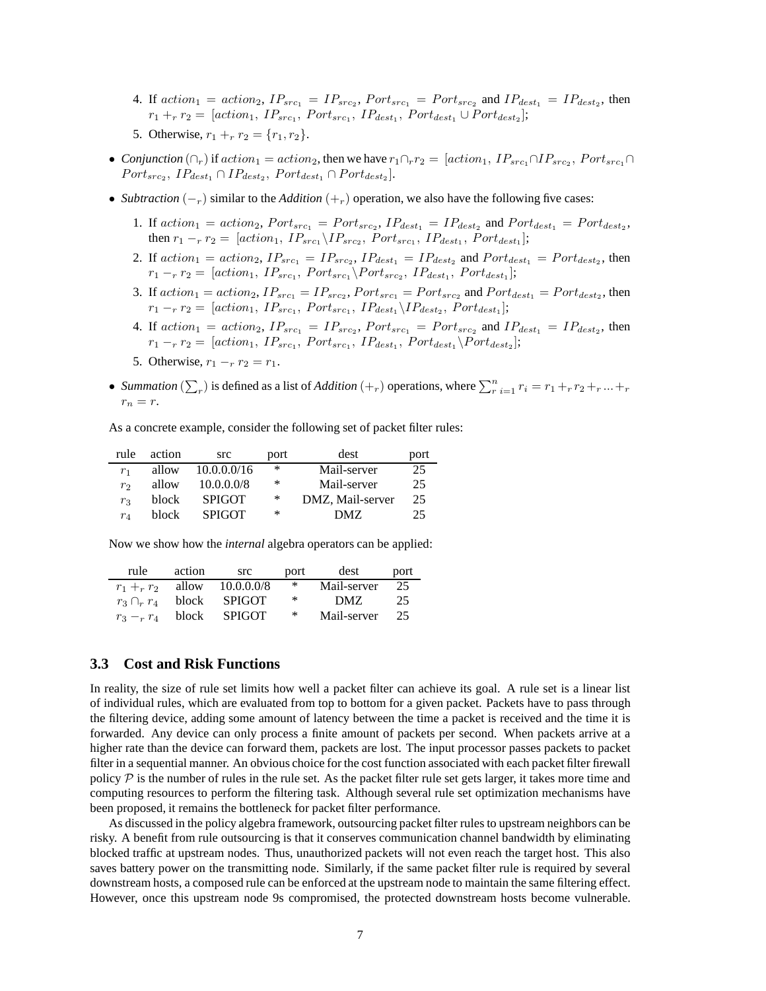- 4. If  $action_1 = action_2$ ,  $IP_{src_1} = IP_{src_2}$ ,  $Port_{src_1} = Port_{src_2}$  and  $IP_{dest_1} = IP_{dest_2}$ , then  $r_1 +_r r_2 = [action_1, IP_{src_1}, Port_{src_1}, IP_{dest_1}, Port_{dest_1} \cup Port_{dest_2}];$ 5. Otherwise,  $r_1 +_r r_2 = \{r_1, r_2\}$ .
- *Conjunction*  $(\cap_r)$  if  $action_1 = action_2$ , then we have  $r_1 \cap_r r_2 = [action_1, IP_{src_1} \cap IP_{src_2}, Port_{src_1} \cap I_{src_2}]$  $Port_{src_2}, IP_{dest_1} \cap IP_{dest_2}, Port_{dest_1} \cap Port_{dest_2}.$
- *Subtraction*  $(-r)$  similar to the *Addition*  $(+r)$  operation, we also have the following five cases:
	- 1. If  $action_1 = action_2$ ,  $Port_{src_1} = Port_{src_2}$ ,  $IP_{dest_1} = IP_{dest_2}$  and  $Port_{dest_1} = Port_{dest_2}$ , then  $r_1 - r_2 = [action_1, IP_{src_1} \backslash IP_{src_2}, Port_{src_1}, IP_{dest_1}, Port_{dest_1}];$
	- 2. If  $action_1 = action_2$ ,  $IP_{src_1} = IP_{src_2}$ ,  $IP_{dest_1} = IP_{dest_2}$  and  $Port_{dest_1} = Port_{dest_2}$ , then  $r_1 - r_2 = [action_1, IP_{src_1}, Port_{src_1} \backslash Port_{src_2}, IP_{dest_1}, Port_{dest_1}];$
	- 3. If  $action_1 = action_2$ ,  $IP_{src_1} = IP_{src_2}$ ,  $Port_{src_1} = Port_{src_2}$  and  $Port_{dest_1} = Port_{dest_2}$ , then  $r_1 - r_2 = [action_1, IP_{src_1}, Port_{src_1}, IP_{dest_1} \backslash IP_{dest_2}, Port_{dest_1}];$
	- 4. If  $action_1 = action_2$ ,  $IP_{src_1} = IP_{src_2}$ ,  $Port_{src_1} = Port_{src_2}$  and  $IP_{dest_1} = IP_{dest_2}$ , then  $r_1 - r_2 = [action_1, IP_{src_1}, Port_{src_1}, IP_{dest_1}, Port_{dest_1} \setminus Port_{dest_2}];$
	- 5. Otherwise,  $r_1 r_2 = r_1$ .
- *Summation*  $(\sum_r)$  is defined as a list of *Addition*  $(+_r)$  operations, where  $\sum_{r=1}^{n} r_i = r_1 + r_2 + r_3 + \dots + r_n$  $r_n = r$ .

As a concrete example, consider the following set of packet filter rules:

| rule           | action       | <b>STC</b>    | port | dest             | port |
|----------------|--------------|---------------|------|------------------|------|
| r <sub>1</sub> | allow        | 10.0.0.0/16   | ∗    | Mail-server      | 25   |
| $r_{2}$        | allow        | 10.0.0.0/8    | ∗    | Mail-server      | 25   |
| $r_{\rm 2}$    | block        | <b>SPIGOT</b> | ∗    | DMZ, Mail-server | 25   |
| $r_4$          | <b>block</b> | <b>SPIGOT</b> | *    | DMZ.             | 25   |

Now we show how the *internal* algebra operators can be applied:

| rule                   | action | <b>Src</b>                   | port   | dest        | port |
|------------------------|--------|------------------------------|--------|-------------|------|
|                        |        | $r_1 + r_2$ allow 10.0.0.0/8 | $\ast$ | Mail-server | 25   |
| $r_3 \cap_r r_4$ block |        | <b>SPIGOT</b>                | $\ast$ | DMZ.        | 25   |
| $r_3 - r_4$ block      |        | <b>SPIGOT</b>                | $\ast$ | Mail-server | 25   |

#### **3.3 Cost and Risk Functions**

In reality, the size of rule set limits how well a packet filter can achieve its goal. A rule set is a linear list of individual rules, which are evaluated from top to bottom for a given packet. Packets have to pass through the filtering device, adding some amount of latency between the time a packet is received and the time it is forwarded. Any device can only process a finite amount of packets per second. When packets arrive at a higher rate than the device can forward them, packets are lost. The input processor passes packets to packet filter in a sequential manner. An obvious choice for the cost function associated with each packet filter firewall policy  $P$  is the number of rules in the rule set. As the packet filter rule set gets larger, it takes more time and computing resources to perform the filtering task. Although several rule set optimization mechanisms have been proposed, it remains the bottleneck for packet filter performance.

As discussed in the policy algebra framework, outsourcing packet filter rules to upstream neighbors can be risky. A benefit from rule outsourcing is that it conserves communication channel bandwidth by eliminating blocked traffic at upstream nodes. Thus, unauthorized packets will not even reach the target host. This also saves battery power on the transmitting node. Similarly, if the same packet filter rule is required by several downstream hosts, a composed rule can be enforced at the upstream node to maintain the same filtering effect. However, once this upstream node 9s compromised, the protected downstream hosts become vulnerable.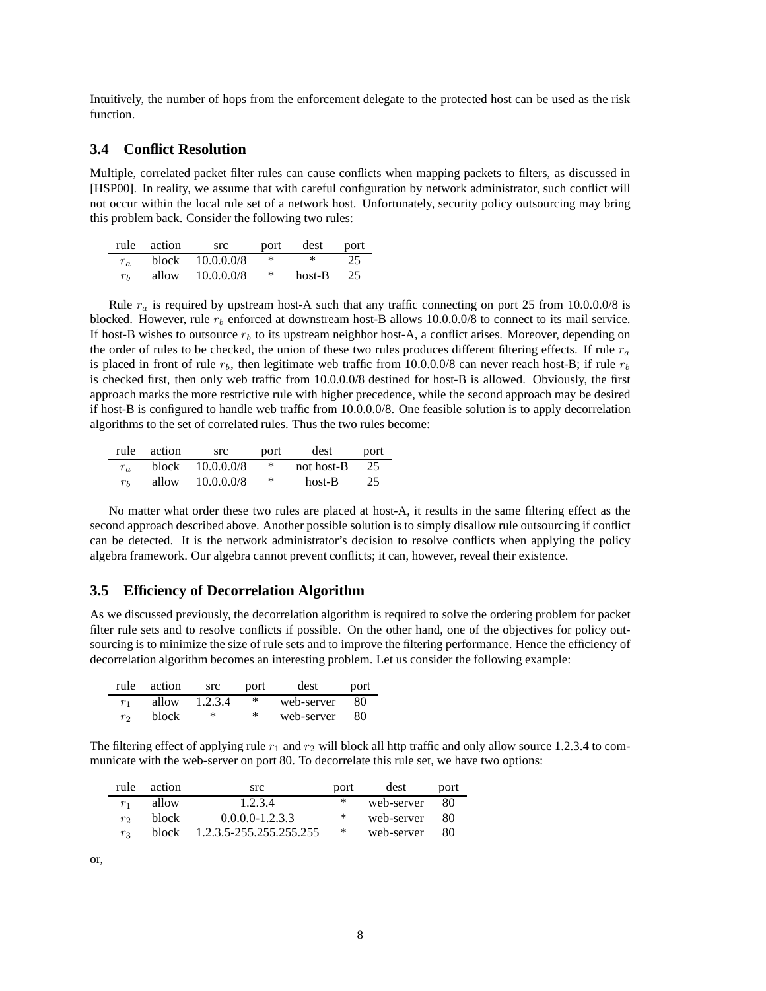Intuitively, the number of hops from the enforcement delegate to the protected host can be used as the risk function.

#### **3.4 Conflict Resolution**

Multiple, correlated packet filter rules can cause conflicts when mapping packets to filters, as discussed in [HSP00]. In reality, we assume that with careful configuration by network administrator, such conflict will not occur within the local rule set of a network host. Unfortunately, security policy outsourcing may bring this problem back. Consider the following two rules:

|       | rule action | src.               | port   | dest   | port |
|-------|-------------|--------------------|--------|--------|------|
|       |             | block $10.0.0.0/8$ | $\ast$ | $\ast$ | 25   |
| $r_h$ | allow       | 10.0.0.0/8         | $*$    | host-B | 25   |

Rule  $r_a$  is required by upstream host-A such that any traffic connecting on port 25 from 10.0.0.0/8 is blocked. However, rule  $r_b$  enforced at downstream host-B allows 10.0.0.0/8 to connect to its mail service. If host-B wishes to outsource  $r<sub>b</sub>$  to its upstream neighbor host-A, a conflict arises. Moreover, depending on the order of rules to be checked, the union of these two rules produces different filtering effects. If rule  $r_a$ is placed in front of rule  $r_b$ , then legitimate web traffic from 10.0.0.0/8 can never reach host-B; if rule  $r_b$ is checked first, then only web traffic from 10.0.0.0/8 destined for host-B is allowed. Obviously, the first approach marks the more restrictive rule with higher precedence, while the second approach may be desired if host-B is configured to handle web traffic from 10.0.0.0/8. One feasible solution is to apply decorrelation algorithms to the set of correlated rules. Thus the two rules become:

|       | rule action | src        | port | dest       | port |
|-------|-------------|------------|------|------------|------|
| $r_a$ | block       | 10.0.0.0/8 | ∗    | not host-B | 25   |
| $r_h$ | allow       | 10.0.0.0/8 | ∗    | host-B     | 25   |

No matter what order these two rules are placed at host-A, it results in the same filtering effect as the second approach described above. Another possible solution is to simply disallow rule outsourcing if conflict can be detected. It is the network administrator's decision to resolve conflicts when applying the policy algebra framework. Our algebra cannot prevent conflicts; it can, however, reveal their existence.

#### **3.5 Efficiency of Decorrelation Algorithm**

As we discussed previously, the decorrelation algorithm is required to solve the ordering problem for packet filter rule sets and to resolve conflicts if possible. On the other hand, one of the objectives for policy outsourcing is to minimize the size of rule sets and to improve the filtering performance. Hence the efficiency of decorrelation algorithm becomes an interesting problem. Let us consider the following example:

|                | rule action | src     | port   | dest       | port |
|----------------|-------------|---------|--------|------------|------|
| r <sub>1</sub> | allow       | 1.2.3.4 | $\ast$ | web-server | -80  |
| $r_{\Omega}$   | block       | $\ast$  | $\ast$ | web-server | -80  |

The filtering effect of applying rule  $r_1$  and  $r_2$  will block all http traffic and only allow source 1.2.3.4 to communicate with the web-server on port 80. To decorrelate this rule set, we have two options:

| rule         | action | src.                          | port | dest       | port |
|--------------|--------|-------------------------------|------|------------|------|
| $r_{1}$      | allow  | 1.2.3.4                       | $*$  | web-server | -80  |
| $r_{\Omega}$ | block  | $0.0.0.0 - 1.2.3.3$           | ∗    | web-server | - 80 |
| $r_{2}$      |        | block 1.2.3.5-255.255.255.255 | ∗    | web-server | -80  |

or,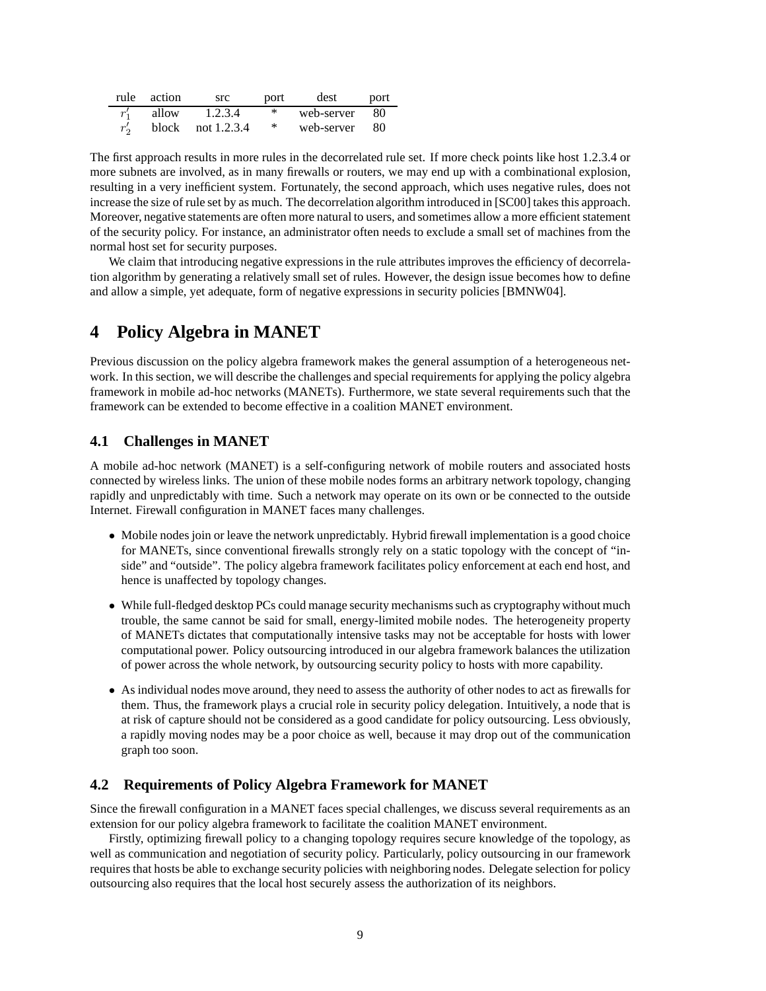|          | rule action | src.                | port   | dest       | port |
|----------|-------------|---------------------|--------|------------|------|
|          | allow       | 1.2.3.4             | $\ast$ | web-server | -80  |
| $r'_{2}$ |             | block not $1.2.3.4$ | $*$    | web-server | -80  |

The first approach results in more rules in the decorrelated rule set. If more check points like host 1.2.3.4 or more subnets are involved, as in many firewalls or routers, we may end up with a combinational explosion, resulting in a very inefficient system. Fortunately, the second approach, which uses negative rules, does not increase the size of rule set by as much. The decorrelation algorithm introduced in [SC00] takes this approach. Moreover, negative statements are often more natural to users, and sometimes allow a more efficient statement of the security policy. For instance, an administrator often needs to exclude a small set of machines from the normal host set for security purposes.

We claim that introducing negative expressions in the rule attributes improves the efficiency of decorrelation algorithm by generating a relatively small set of rules. However, the design issue becomes how to define and allow a simple, yet adequate, form of negative expressions in security policies [BMNW04].

## **4 Policy Algebra in MANET**

Previous discussion on the policy algebra framework makes the general assumption of a heterogeneous network. In this section, we will describe the challenges and special requirements for applying the policy algebra framework in mobile ad-hoc networks (MANETs). Furthermore, we state several requirements such that the framework can be extended to become effective in a coalition MANET environment.

### **4.1 Challenges in MANET**

A mobile ad-hoc network (MANET) is a self-configuring network of mobile routers and associated hosts connected by wireless links. The union of these mobile nodes forms an arbitrary network topology, changing rapidly and unpredictably with time. Such a network may operate on its own or be connected to the outside Internet. Firewall configuration in MANET faces many challenges.

- Mobile nodes join or leave the network unpredictably. Hybrid firewall implementation is a good choice for MANETs, since conventional firewalls strongly rely on a static topology with the concept of "inside" and "outside". The policy algebra framework facilitates policy enforcement at each end host, and hence is unaffected by topology changes.
- While full-fledged desktop PCs could manage security mechanisms such as cryptography without much trouble, the same cannot be said for small, energy-limited mobile nodes. The heterogeneity property of MANETs dictates that computationally intensive tasks may not be acceptable for hosts with lower computational power. Policy outsourcing introduced in our algebra framework balances the utilization of power across the whole network, by outsourcing security policy to hosts with more capability.
- As individual nodes move around, they need to assess the authority of other nodes to act as firewalls for them. Thus, the framework plays a crucial role in security policy delegation. Intuitively, a node that is at risk of capture should not be considered as a good candidate for policy outsourcing. Less obviously, a rapidly moving nodes may be a poor choice as well, because it may drop out of the communication graph too soon.

### **4.2 Requirements of Policy Algebra Framework for MANET**

Since the firewall configuration in a MANET faces special challenges, we discuss several requirements as an extension for our policy algebra framework to facilitate the coalition MANET environment.

Firstly, optimizing firewall policy to a changing topology requires secure knowledge of the topology, as well as communication and negotiation of security policy. Particularly, policy outsourcing in our framework requires that hosts be able to exchange security policies with neighboring nodes. Delegate selection for policy outsourcing also requires that the local host securely assess the authorization of its neighbors.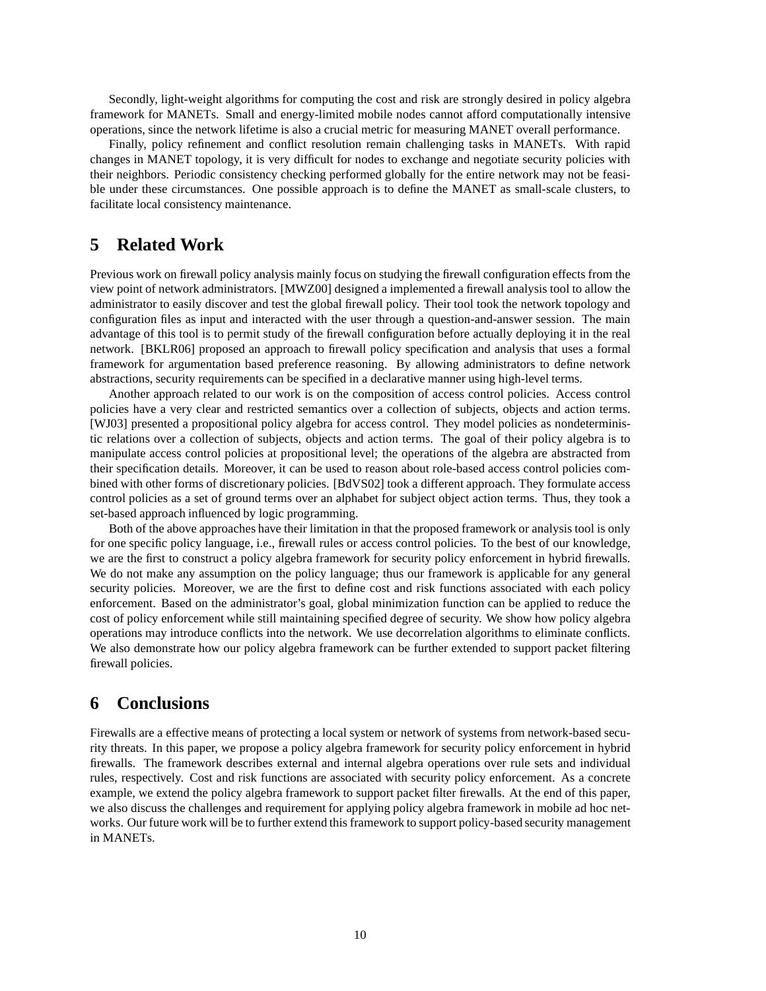Secondly, light-weight algorithms for computing the cost and risk are strongly desired in policy algebra framework for MANETs. Small and energy-limited mobile nodes cannot afford computationally intensive operations, since the network lifetime is also a crucial metric for measuring MANET overall performance.

Finally, policy refinement and conflict resolution remain challenging tasks in MANETs. With rapid changes in MANET topology, it is very difficult for nodes to exchange and negotiate security policies with their neighbors. Periodic consistency checking performed globally for the entire network may not be feasible under these circumstances. One possible approach is to define the MANET as small-scale clusters, to facilitate local consistency maintenance.

### **5 Related Work**

Previous work on firewall policy analysis mainly focus on studying the firewall configuration effects from the view point of network administrators. [MWZ00] designed a implemented a firewall analysis tool to allow the administrator to easily discover and test the global firewall policy. Their tool took the network topology and configuration files as input and interacted with the user through a question-and-answer session. The main advantage of this tool is to permit study of the firewall configuration before actually deploying it in the real network. [BKLR06] proposed an approach to firewall policy specification and analysis that uses a formal framework for argumentation based preference reasoning. By allowing administrators to define network abstractions, security requirements can be specified in a declarative manner using high-level terms.

Another approach related to our work is on the composition of access control policies. Access control policies have a very clear and restricted semantics over a collection of subjects, objects and action terms. [WJ03] presented a propositional policy algebra for access control. They model policies as nondeterministic relations over a collection of subjects, objects and action terms. The goal of their policy algebra is to manipulate access control policies at propositional level; the operations of the algebra are abstracted from their specification details. Moreover, it can be used to reason about role-based access control policies combined with other forms of discretionary policies. [BdVS02] took a different approach. They formulate access control policies as a set of ground terms over an alphabet for subject object action terms. Thus, they took a set-based approach influenced by logic programming.

Both of the above approaches have their limitation in that the proposed framework or analysis tool is only for one specific policy language, i.e., firewall rules or access control policies. To the best of our knowledge, we are the first to construct a policy algebra framework for security policy enforcement in hybrid firewalls. We do not make any assumption on the policy language; thus our framework is applicable for any general security policies. Moreover, we are the first to define cost and risk functions associated with each policy enforcement. Based on the administrator's goal, global minimization function can be applied to reduce the cost of policy enforcement while still maintaining specified degree of security. We show how policy algebra operations may introduce conflicts into the network. We use decorrelation algorithms to eliminate conflicts. We also demonstrate how our policy algebra framework can be further extended to support packet filtering firewall policies.

### **6 Conclusions**

Firewalls are a effective means of protecting a local system or network of systems from network-based security threats. In this paper, we propose a policy algebra framework for security policy enforcement in hybrid firewalls. The framework describes external and internal algebra operations over rule sets and individual rules, respectively. Cost and risk functions are associated with security policy enforcement. As a concrete example, we extend the policy algebra framework to support packet filter firewalls. At the end of this paper, we also discuss the challenges and requirement for applying policy algebra framework in mobile ad hoc networks. Our future work will be to further extend this framework to support policy-based security management in MANETs.